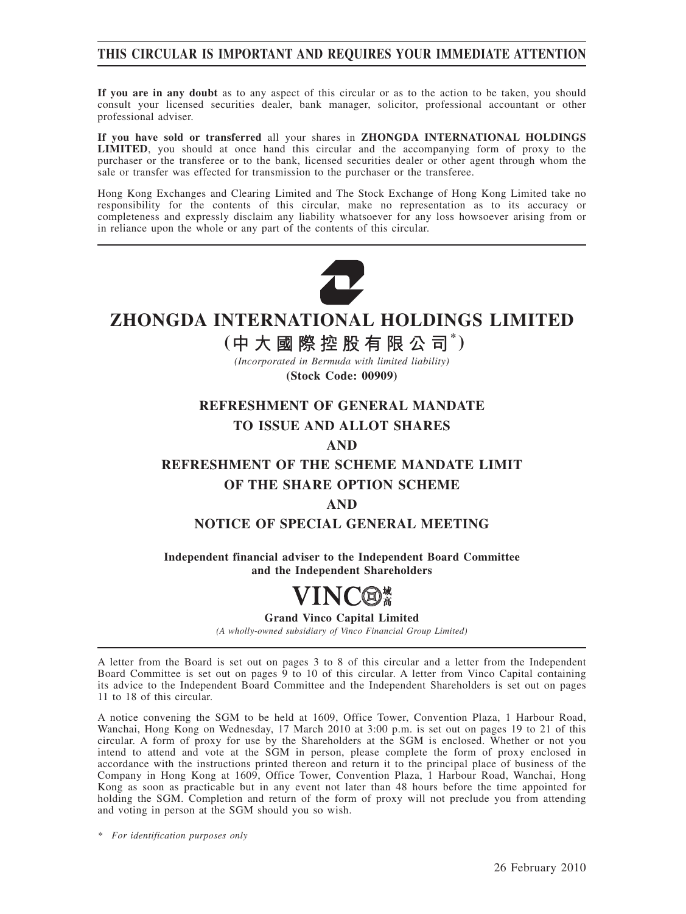### **THIS CIRCULAR IS IMPORTANT AND REQUIRES YOUR IMMEDIATE ATTENTION**

**If you are in any doubt** as to any aspect of this circular or as to the action to be taken, you should consult your licensed securities dealer, bank manager, solicitor, professional accountant or other professional adviser.

**If you have sold or transferred** all your shares in **ZHONGDA INTERNATIONAL HOLDINGS LIMITED**, you should at once hand this circular and the accompanying form of proxy to the purchaser or the transferee or to the bank, licensed securities dealer or other agent through whom the sale or transfer was effected for transmission to the purchaser or the transferee.

Hong Kong Exchanges and Clearing Limited and The Stock Exchange of Hong Kong Limited take no responsibility for the contents of this circular, make no representation as to its accuracy or completeness and expressly disclaim any liability whatsoever for any loss howsoever arising from or in reliance upon the whole or any part of the contents of this circular.



# **ZHONGDA INTERNATIONAL HOLDINGS LIMITED**

# **( \* )**

*(Incorporated in Bermuda with limited liability)* **(Stock Code: 00909)**

### **REFRESHMENT OF GENERAL MANDATE**

### **TO ISSUE AND ALLOT SHARES**

**AND**

# **REFRESHMENT OF THE SCHEME MANDATE LIMIT OF THE SHARE OPTION SCHEME**

### **AND**

### **NOTICE OF SPECIAL GENERAL MEETING**

**Independent financial adviser to the Independent Board Committee and the Independent Shareholders**

# VINC®

#### **Grand Vinco Capital Limited**

*(A wholly-owned subsidiary of Vinco Financial Group Limited)*

A letter from the Board is set out on pages 3 to 8 of this circular and a letter from the Independent Board Committee is set out on pages  $\hat{9}$  to 10 of this circular. A letter from Vinco Capital containing its advice to the Independent Board Committee and the Independent Shareholders is set out on pages 11 to 18 of this circular.

A notice convening the SGM to be held at 1609, Office Tower, Convention Plaza, 1 Harbour Road, Wanchai, Hong Kong on Wednesday, 17 March 2010 at 3:00 p.m. is set out on pages 19 to 21 of this circular. A form of proxy for use by the Shareholders at the SGM is enclosed. Whether or not you intend to attend and vote at the SGM in person, please complete the form of proxy enclosed in accordance with the instructions printed thereon and return it to the principal place of business of the Company in Hong Kong at 1609, Office Tower, Convention Plaza, 1 Harbour Road, Wanchai, Hong Kong as soon as practicable but in any event not later than 48 hours before the time appointed for holding the SGM. Completion and return of the form of proxy will not preclude you from attending and voting in person at the SGM should you so wish.

*\* For identification purposes only*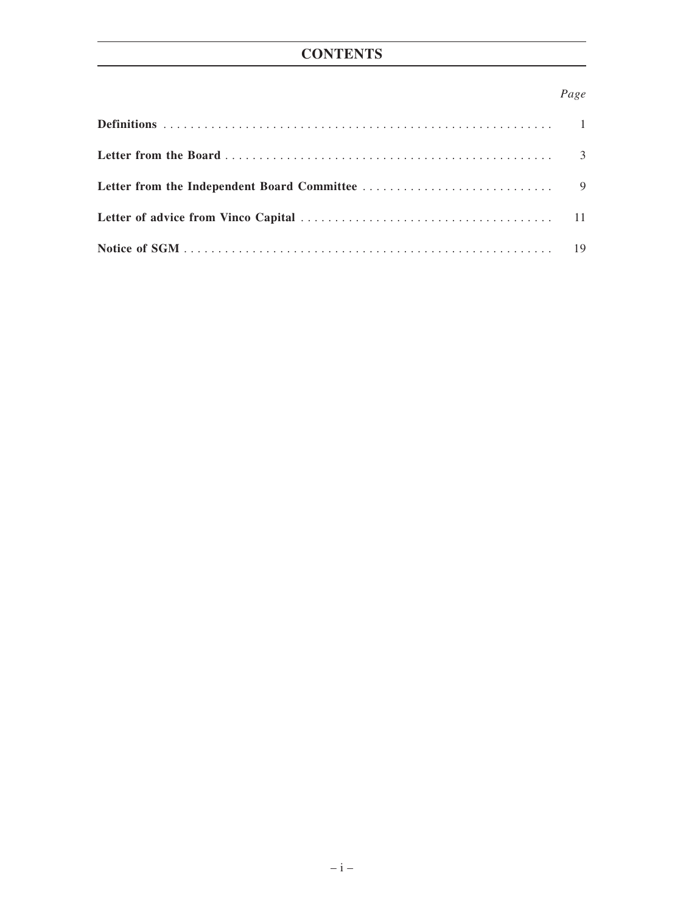### *Page*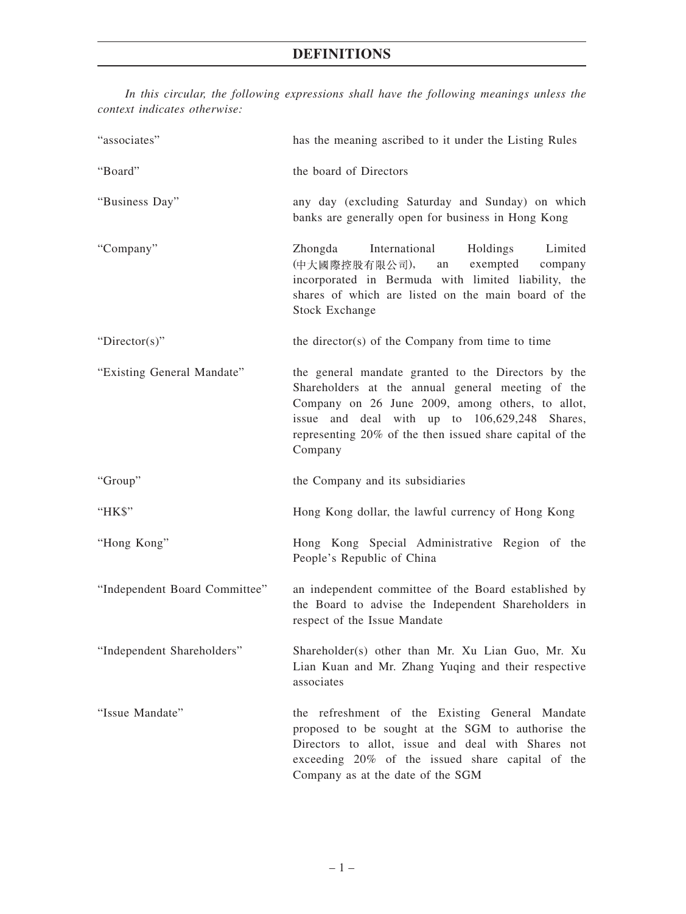| context marcules omer who     |                                                                                                                                                                                                                                                                                      |
|-------------------------------|--------------------------------------------------------------------------------------------------------------------------------------------------------------------------------------------------------------------------------------------------------------------------------------|
| "associates"                  | has the meaning ascribed to it under the Listing Rules                                                                                                                                                                                                                               |
| "Board"                       | the board of Directors                                                                                                                                                                                                                                                               |
| "Business Day"                | any day (excluding Saturday and Sunday) on which<br>banks are generally open for business in Hong Kong                                                                                                                                                                               |
| "Company"                     | International<br>Zhongda<br>Holdings<br>Limited<br>(中大國際控股有限公司),<br>exempted<br>company<br>an<br>incorporated in Bermuda with limited liability, the<br>shares of which are listed on the main board of the<br><b>Stock Exchange</b>                                                 |
| " $Directory$ "               | the director(s) of the Company from time to time                                                                                                                                                                                                                                     |
| "Existing General Mandate"    | the general mandate granted to the Directors by the<br>Shareholders at the annual general meeting of the<br>Company on 26 June 2009, among others, to allot,<br>issue and deal with up to 106,629,248 Shares,<br>representing 20% of the then issued share capital of the<br>Company |
| "Group"                       | the Company and its subsidiaries                                                                                                                                                                                                                                                     |
| "HK\$"                        | Hong Kong dollar, the lawful currency of Hong Kong                                                                                                                                                                                                                                   |
| "Hong Kong"                   | Hong Kong Special Administrative Region of the<br>People's Republic of China                                                                                                                                                                                                         |
| "Independent Board Committee" | an independent committee of the Board established by<br>the Board to advise the Independent Shareholders in<br>respect of the Issue Mandate                                                                                                                                          |
| "Independent Shareholders"    | Shareholder(s) other than Mr. Xu Lian Guo, Mr. Xu<br>Lian Kuan and Mr. Zhang Yuqing and their respective<br>associates                                                                                                                                                               |
| "Issue Mandate"               | the refreshment of the Existing General Mandate<br>proposed to be sought at the SGM to authorise the<br>Directors to allot, issue and deal with Shares not<br>exceeding 20% of the issued share capital of the<br>Company as at the date of the SGM                                  |

*In this circular, the following expressions shall have the following meanings unless the context indicates otherwise:*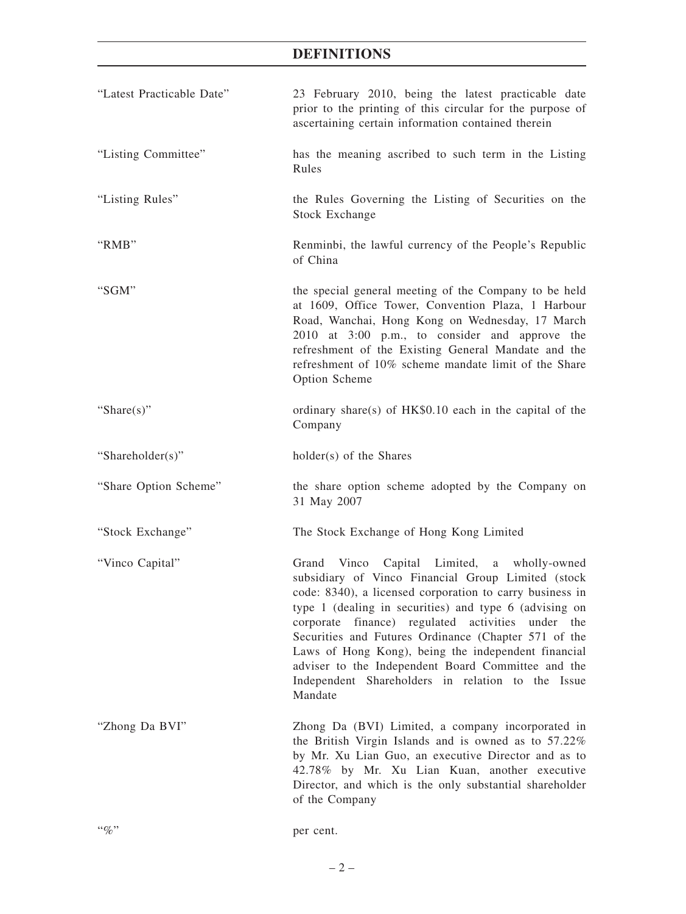## **DEFINITIONS**

| "Latest Practicable Date" | 23 February 2010, being the latest practicable date<br>prior to the printing of this circular for the purpose of<br>ascertaining certain information contained therein                                                                                                                                                                                                                                                                                                                                               |
|---------------------------|----------------------------------------------------------------------------------------------------------------------------------------------------------------------------------------------------------------------------------------------------------------------------------------------------------------------------------------------------------------------------------------------------------------------------------------------------------------------------------------------------------------------|
| "Listing Committee"       | has the meaning ascribed to such term in the Listing<br>Rules                                                                                                                                                                                                                                                                                                                                                                                                                                                        |
| "Listing Rules"           | the Rules Governing the Listing of Securities on the<br><b>Stock Exchange</b>                                                                                                                                                                                                                                                                                                                                                                                                                                        |
| "RMB"                     | Renminbi, the lawful currency of the People's Republic<br>of China                                                                                                                                                                                                                                                                                                                                                                                                                                                   |
| "SGM"                     | the special general meeting of the Company to be held<br>at 1609, Office Tower, Convention Plaza, 1 Harbour<br>Road, Wanchai, Hong Kong on Wednesday, 17 March<br>2010 at 3:00 p.m., to consider and approve the<br>refreshment of the Existing General Mandate and the<br>refreshment of 10% scheme mandate limit of the Share<br>Option Scheme                                                                                                                                                                     |
| "Share $(s)$ "            | ordinary share(s) of HK\$0.10 each in the capital of the<br>Company                                                                                                                                                                                                                                                                                                                                                                                                                                                  |
| "Shareholder(s)"          | holder(s) of the Shares                                                                                                                                                                                                                                                                                                                                                                                                                                                                                              |
| "Share Option Scheme"     | the share option scheme adopted by the Company on<br>31 May 2007                                                                                                                                                                                                                                                                                                                                                                                                                                                     |
| "Stock Exchange"          | The Stock Exchange of Hong Kong Limited                                                                                                                                                                                                                                                                                                                                                                                                                                                                              |
| "Vinco Capital"           | Grand<br>Vinco Capital Limited, a wholly-owned<br>subsidiary of Vinco Financial Group Limited (stock<br>code: 8340), a licensed corporation to carry business in<br>type 1 (dealing in securities) and type 6 (advising on<br>corporate finance) regulated activities under the<br>Securities and Futures Ordinance (Chapter 571 of the<br>Laws of Hong Kong), being the independent financial<br>adviser to the Independent Board Committee and the<br>Independent Shareholders in relation to the Issue<br>Mandate |
| "Zhong Da BVI"            | Zhong Da (BVI) Limited, a company incorporated in<br>the British Virgin Islands and is owned as to 57.22%<br>by Mr. Xu Lian Guo, an executive Director and as to<br>42.78% by Mr. Xu Lian Kuan, another executive<br>Director, and which is the only substantial shareholder<br>of the Company                                                                                                                                                                                                                       |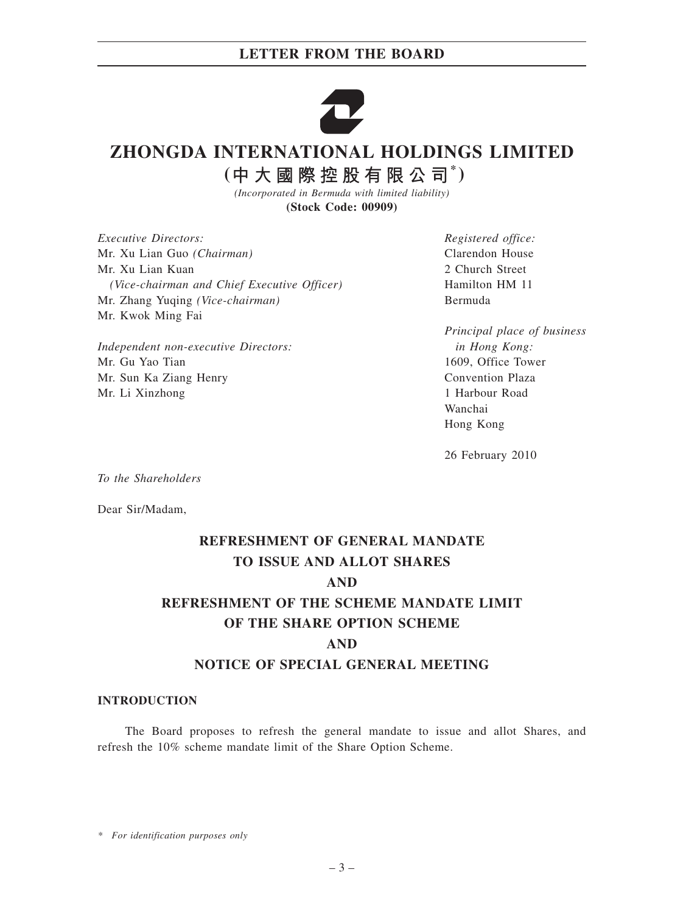

# **ZHONGDA INTERNATIONAL HOLDINGS LIMITED**

 $($ 中大國際控股有限公司 $*$ )

*(Incorporated in Bermuda with limited liability)* **(Stock Code: 00909)**

*Executive Directors:* Mr. Xu Lian Guo *(Chairman)* Mr. Xu Lian Kuan *(Vice-chairman and Chief Executive Officer)* Mr. Zhang Yuqing *(Vice-chairman)* Mr. Kwok Ming Fai

*Independent non-executive Directors:* Mr. Gu Yao Tian Mr. Sun Ka Ziang Henry Mr. Li Xinzhong

*Registered office:* Clarendon House 2 Church Street Hamilton HM 11 Bermuda

*Principal place of business in Hong Kong:* 1609, Office Tower Convention Plaza 1 Harbour Road Wanchai Hong Kong

26 February 2010

*To the Shareholders*

Dear Sir/Madam,

# **REFRESHMENT OF GENERAL MANDATE TO ISSUE AND ALLOT SHARES AND REFRESHMENT OF THE SCHEME MANDATE LIMIT OF THE SHARE OPTION SCHEME AND NOTICE OF SPECIAL GENERAL MEETING**

#### **INTRODUCTION**

The Board proposes to refresh the general mandate to issue and allot Shares, and refresh the 10% scheme mandate limit of the Share Option Scheme.

*\* For identification purposes only*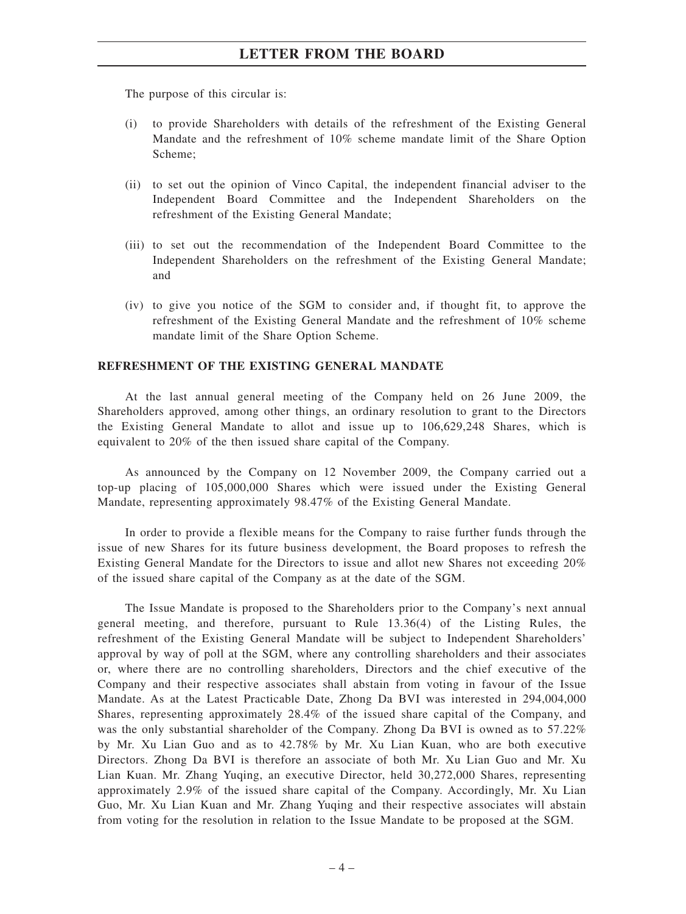The purpose of this circular is:

- (i) to provide Shareholders with details of the refreshment of the Existing General Mandate and the refreshment of 10% scheme mandate limit of the Share Option Scheme;
- (ii) to set out the opinion of Vinco Capital, the independent financial adviser to the Independent Board Committee and the Independent Shareholders on the refreshment of the Existing General Mandate;
- (iii) to set out the recommendation of the Independent Board Committee to the Independent Shareholders on the refreshment of the Existing General Mandate; and
- (iv) to give you notice of the SGM to consider and, if thought fit, to approve the refreshment of the Existing General Mandate and the refreshment of 10% scheme mandate limit of the Share Option Scheme.

#### **REFRESHMENT OF THE EXISTING GENERAL MANDATE**

At the last annual general meeting of the Company held on 26 June 2009, the Shareholders approved, among other things, an ordinary resolution to grant to the Directors the Existing General Mandate to allot and issue up to 106,629,248 Shares, which is equivalent to 20% of the then issued share capital of the Company.

As announced by the Company on 12 November 2009, the Company carried out a top-up placing of 105,000,000 Shares which were issued under the Existing General Mandate, representing approximately 98.47% of the Existing General Mandate.

In order to provide a flexible means for the Company to raise further funds through the issue of new Shares for its future business development, the Board proposes to refresh the Existing General Mandate for the Directors to issue and allot new Shares not exceeding 20% of the issued share capital of the Company as at the date of the SGM.

The Issue Mandate is proposed to the Shareholders prior to the Company's next annual general meeting, and therefore, pursuant to Rule 13.36(4) of the Listing Rules, the refreshment of the Existing General Mandate will be subject to Independent Shareholders' approval by way of poll at the SGM, where any controlling shareholders and their associates or, where there are no controlling shareholders, Directors and the chief executive of the Company and their respective associates shall abstain from voting in favour of the Issue Mandate. As at the Latest Practicable Date, Zhong Da BVI was interested in 294,004,000 Shares, representing approximately 28.4% of the issued share capital of the Company, and was the only substantial shareholder of the Company. Zhong Da BVI is owned as to 57.22% by Mr. Xu Lian Guo and as to 42.78% by Mr. Xu Lian Kuan, who are both executive Directors. Zhong Da BVI is therefore an associate of both Mr. Xu Lian Guo and Mr. Xu Lian Kuan. Mr. Zhang Yuqing, an executive Director, held 30,272,000 Shares, representing approximately 2.9% of the issued share capital of the Company. Accordingly, Mr. Xu Lian Guo, Mr. Xu Lian Kuan and Mr. Zhang Yuqing and their respective associates will abstain from voting for the resolution in relation to the Issue Mandate to be proposed at the SGM.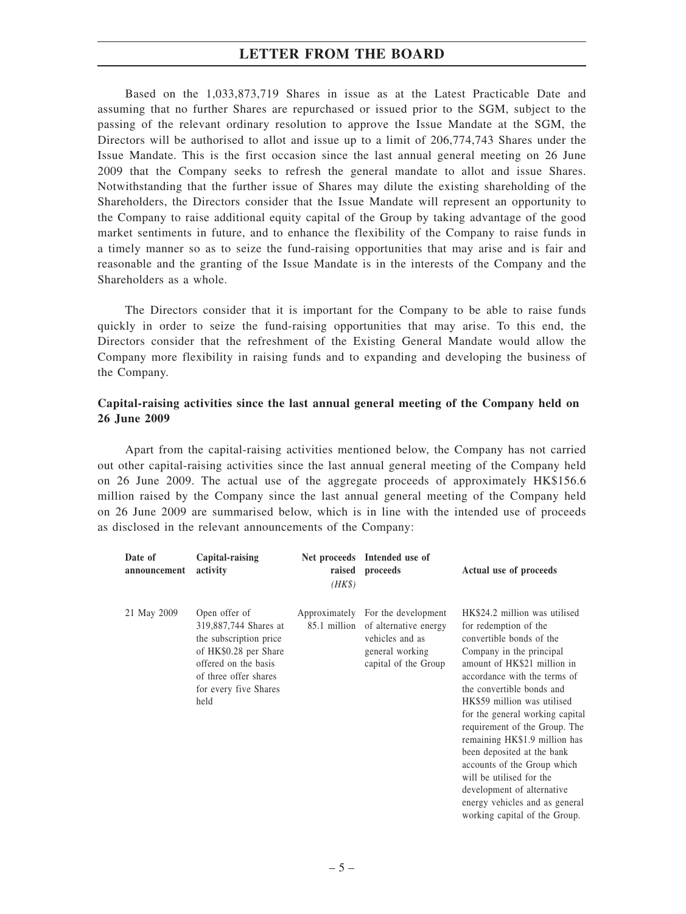Based on the 1,033,873,719 Shares in issue as at the Latest Practicable Date and assuming that no further Shares are repurchased or issued prior to the SGM, subject to the passing of the relevant ordinary resolution to approve the Issue Mandate at the SGM, the Directors will be authorised to allot and issue up to a limit of 206,774,743 Shares under the Issue Mandate. This is the first occasion since the last annual general meeting on 26 June 2009 that the Company seeks to refresh the general mandate to allot and issue Shares. Notwithstanding that the further issue of Shares may dilute the existing shareholding of the Shareholders, the Directors consider that the Issue Mandate will represent an opportunity to the Company to raise additional equity capital of the Group by taking advantage of the good market sentiments in future, and to enhance the flexibility of the Company to raise funds in a timely manner so as to seize the fund-raising opportunities that may arise and is fair and reasonable and the granting of the Issue Mandate is in the interests of the Company and the Shareholders as a whole.

The Directors consider that it is important for the Company to be able to raise funds quickly in order to seize the fund-raising opportunities that may arise. To this end, the Directors consider that the refreshment of the Existing General Mandate would allow the Company more flexibility in raising funds and to expanding and developing the business of the Company.

#### **Capital-raising activities since the last annual general meeting of the Company held on 26 June 2009**

Apart from the capital-raising activities mentioned below, the Company has not carried out other capital-raising activities since the last annual general meeting of the Company held on 26 June 2009. The actual use of the aggregate proceeds of approximately HK\$156.6 million raised by the Company since the last annual general meeting of the Company held on 26 June 2009 are summarised below, which is in line with the intended use of proceeds as disclosed in the relevant announcements of the Company:

| Date of<br>announcement | Capital-raising<br>activity                                                                                                                                                 | $(HK\$ | Net proceeds Intended use of<br>raised proceeds                                                                                       | Actual use of proceeds                                                                                                                                                                                                                                                                                                                                                                                                                                                                                                                   |
|-------------------------|-----------------------------------------------------------------------------------------------------------------------------------------------------------------------------|--------|---------------------------------------------------------------------------------------------------------------------------------------|------------------------------------------------------------------------------------------------------------------------------------------------------------------------------------------------------------------------------------------------------------------------------------------------------------------------------------------------------------------------------------------------------------------------------------------------------------------------------------------------------------------------------------------|
| 21 May 2009             | Open offer of<br>319,887,744 Shares at<br>the subscription price<br>of HK\$0.28 per Share<br>offered on the basis<br>of three offer shares<br>for every five Shares<br>held |        | Approximately For the development<br>85.1 million of alternative energy<br>vehicles and as<br>general working<br>capital of the Group | HK\$24.2 million was utilised<br>for redemption of the<br>convertible bonds of the<br>Company in the principal<br>amount of HK\$21 million in<br>accordance with the terms of<br>the convertible bonds and<br>HK\$59 million was utilised<br>for the general working capital<br>requirement of the Group. The<br>remaining HK\$1.9 million has<br>been deposited at the bank<br>accounts of the Group which<br>will be utilised for the<br>development of alternative<br>energy vehicles and as general<br>working capital of the Group. |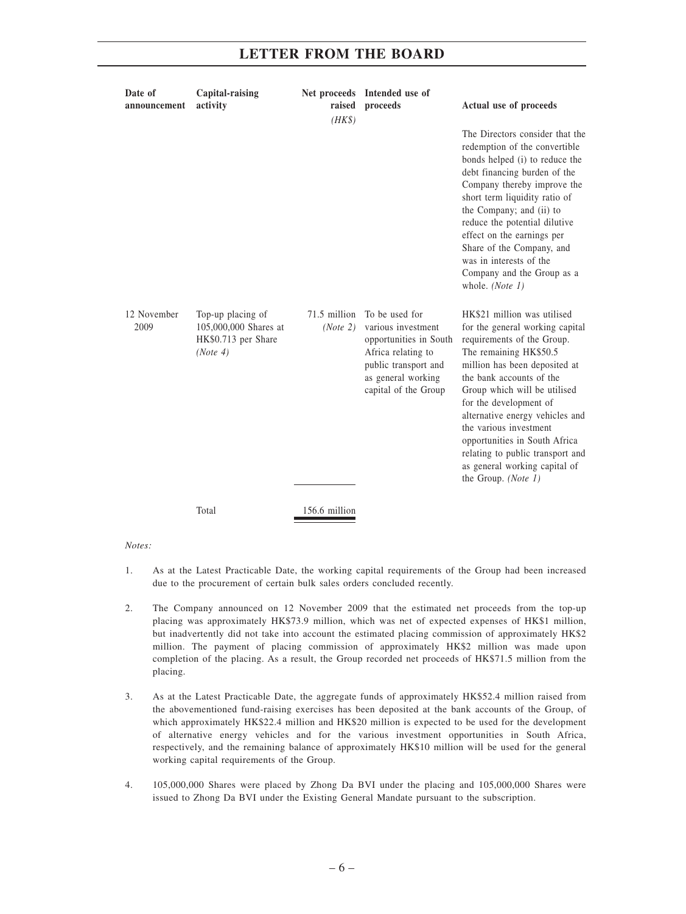| Date of<br>announcement | Capital-raising<br>activity                                                   | raised<br>$(HK\$         | Net proceeds Intended use of<br>proceeds                                                                                                                   | Actual use of proceeds                                                                                                                                                                                                                                                                                                                                                                                                                  |
|-------------------------|-------------------------------------------------------------------------------|--------------------------|------------------------------------------------------------------------------------------------------------------------------------------------------------|-----------------------------------------------------------------------------------------------------------------------------------------------------------------------------------------------------------------------------------------------------------------------------------------------------------------------------------------------------------------------------------------------------------------------------------------|
|                         |                                                                               |                          |                                                                                                                                                            | The Directors consider that the<br>redemption of the convertible<br>bonds helped (i) to reduce the<br>debt financing burden of the<br>Company thereby improve the<br>short term liquidity ratio of<br>the Company; and (ii) to<br>reduce the potential dilutive<br>effect on the earnings per<br>Share of the Company, and<br>was in interests of the<br>Company and the Group as a<br>whole. (Note 1)                                  |
| 12 November<br>2009     | Top-up placing of<br>105,000,000 Shares at<br>HK\$0.713 per Share<br>(Note 4) | 71.5 million<br>(Note 2) | To be used for<br>various investment<br>opportunities in South<br>Africa relating to<br>public transport and<br>as general working<br>capital of the Group | HK\$21 million was utilised<br>for the general working capital<br>requirements of the Group.<br>The remaining HK\$50.5<br>million has been deposited at<br>the bank accounts of the<br>Group which will be utilised<br>for the development of<br>alternative energy vehicles and<br>the various investment<br>opportunities in South Africa<br>relating to public transport and<br>as general working capital of<br>the Group. (Note 1) |
|                         | Total                                                                         | 156.6 million            |                                                                                                                                                            |                                                                                                                                                                                                                                                                                                                                                                                                                                         |

*Notes:*

- 1. As at the Latest Practicable Date, the working capital requirements of the Group had been increased due to the procurement of certain bulk sales orders concluded recently.
- 2. The Company announced on 12 November 2009 that the estimated net proceeds from the top-up placing was approximately HK\$73.9 million, which was net of expected expenses of HK\$1 million, but inadvertently did not take into account the estimated placing commission of approximately HK\$2 million. The payment of placing commission of approximately HK\$2 million was made upon completion of the placing. As a result, the Group recorded net proceeds of HK\$71.5 million from the placing.
- 3. As at the Latest Practicable Date, the aggregate funds of approximately HK\$52.4 million raised from the abovementioned fund-raising exercises has been deposited at the bank accounts of the Group, of which approximately HK\$22.4 million and HK\$20 million is expected to be used for the development of alternative energy vehicles and for the various investment opportunities in South Africa, respectively, and the remaining balance of approximately HK\$10 million will be used for the general working capital requirements of the Group.
- 4. 105,000,000 Shares were placed by Zhong Da BVI under the placing and 105,000,000 Shares were issued to Zhong Da BVI under the Existing General Mandate pursuant to the subscription.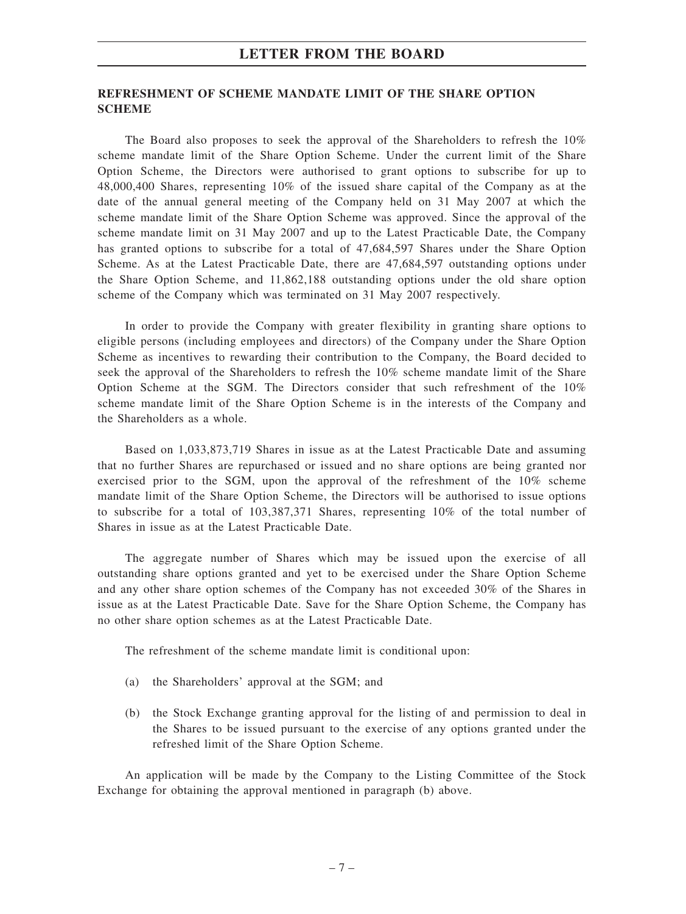#### **REFRESHMENT OF SCHEME MANDATE LIMIT OF THE SHARE OPTION SCHEME**

The Board also proposes to seek the approval of the Shareholders to refresh the 10% scheme mandate limit of the Share Option Scheme. Under the current limit of the Share Option Scheme, the Directors were authorised to grant options to subscribe for up to 48,000,400 Shares, representing 10% of the issued share capital of the Company as at the date of the annual general meeting of the Company held on 31 May 2007 at which the scheme mandate limit of the Share Option Scheme was approved. Since the approval of the scheme mandate limit on 31 May 2007 and up to the Latest Practicable Date, the Company has granted options to subscribe for a total of 47,684,597 Shares under the Share Option Scheme. As at the Latest Practicable Date, there are 47,684,597 outstanding options under the Share Option Scheme, and 11,862,188 outstanding options under the old share option scheme of the Company which was terminated on 31 May 2007 respectively.

In order to provide the Company with greater flexibility in granting share options to eligible persons (including employees and directors) of the Company under the Share Option Scheme as incentives to rewarding their contribution to the Company, the Board decided to seek the approval of the Shareholders to refresh the 10% scheme mandate limit of the Share Option Scheme at the SGM. The Directors consider that such refreshment of the 10% scheme mandate limit of the Share Option Scheme is in the interests of the Company and the Shareholders as a whole.

Based on 1,033,873,719 Shares in issue as at the Latest Practicable Date and assuming that no further Shares are repurchased or issued and no share options are being granted nor exercised prior to the SGM, upon the approval of the refreshment of the 10% scheme mandate limit of the Share Option Scheme, the Directors will be authorised to issue options to subscribe for a total of 103,387,371 Shares, representing 10% of the total number of Shares in issue as at the Latest Practicable Date.

The aggregate number of Shares which may be issued upon the exercise of all outstanding share options granted and yet to be exercised under the Share Option Scheme and any other share option schemes of the Company has not exceeded 30% of the Shares in issue as at the Latest Practicable Date. Save for the Share Option Scheme, the Company has no other share option schemes as at the Latest Practicable Date.

The refreshment of the scheme mandate limit is conditional upon:

- (a) the Shareholders' approval at the SGM; and
- (b) the Stock Exchange granting approval for the listing of and permission to deal in the Shares to be issued pursuant to the exercise of any options granted under the refreshed limit of the Share Option Scheme.

An application will be made by the Company to the Listing Committee of the Stock Exchange for obtaining the approval mentioned in paragraph (b) above.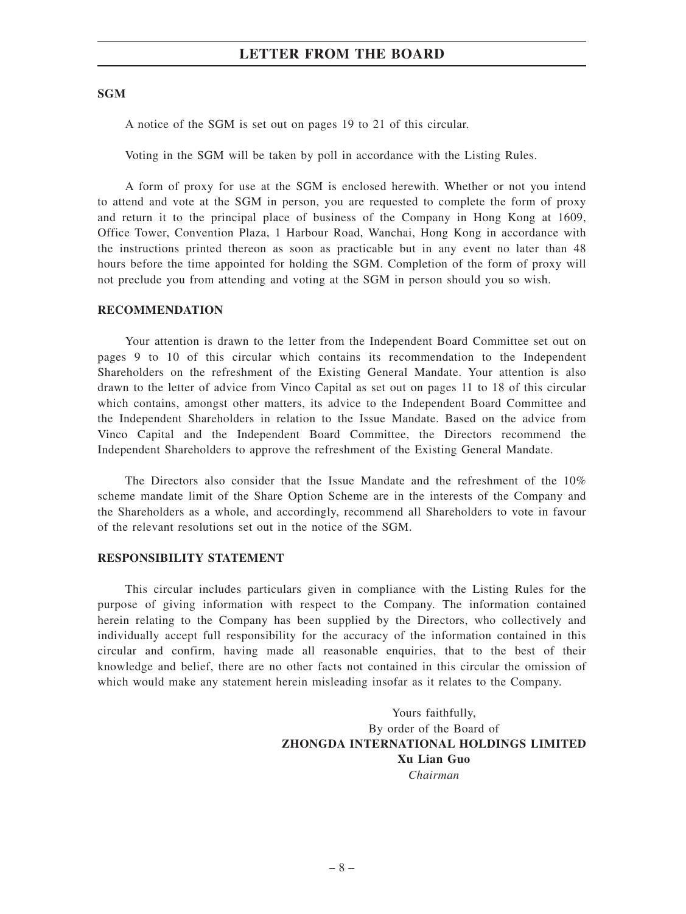#### **SGM**

A notice of the SGM is set out on pages 19 to 21 of this circular.

Voting in the SGM will be taken by poll in accordance with the Listing Rules.

A form of proxy for use at the SGM is enclosed herewith. Whether or not you intend to attend and vote at the SGM in person, you are requested to complete the form of proxy and return it to the principal place of business of the Company in Hong Kong at 1609, Office Tower, Convention Plaza, 1 Harbour Road, Wanchai, Hong Kong in accordance with the instructions printed thereon as soon as practicable but in any event no later than 48 hours before the time appointed for holding the SGM. Completion of the form of proxy will not preclude you from attending and voting at the SGM in person should you so wish.

#### **RECOMMENDATION**

Your attention is drawn to the letter from the Independent Board Committee set out on pages 9 to 10 of this circular which contains its recommendation to the Independent Shareholders on the refreshment of the Existing General Mandate. Your attention is also drawn to the letter of advice from Vinco Capital as set out on pages 11 to 18 of this circular which contains, amongst other matters, its advice to the Independent Board Committee and the Independent Shareholders in relation to the Issue Mandate. Based on the advice from Vinco Capital and the Independent Board Committee, the Directors recommend the Independent Shareholders to approve the refreshment of the Existing General Mandate.

The Directors also consider that the Issue Mandate and the refreshment of the 10% scheme mandate limit of the Share Option Scheme are in the interests of the Company and the Shareholders as a whole, and accordingly, recommend all Shareholders to vote in favour of the relevant resolutions set out in the notice of the SGM.

#### **RESPONSIBILITY STATEMENT**

This circular includes particulars given in compliance with the Listing Rules for the purpose of giving information with respect to the Company. The information contained herein relating to the Company has been supplied by the Directors, who collectively and individually accept full responsibility for the accuracy of the information contained in this circular and confirm, having made all reasonable enquiries, that to the best of their knowledge and belief, there are no other facts not contained in this circular the omission of which would make any statement herein misleading insofar as it relates to the Company.

> Yours faithfully, By order of the Board of **ZHONGDA INTERNATIONAL HOLDINGS LIMITED Xu Lian Guo** *Chairman*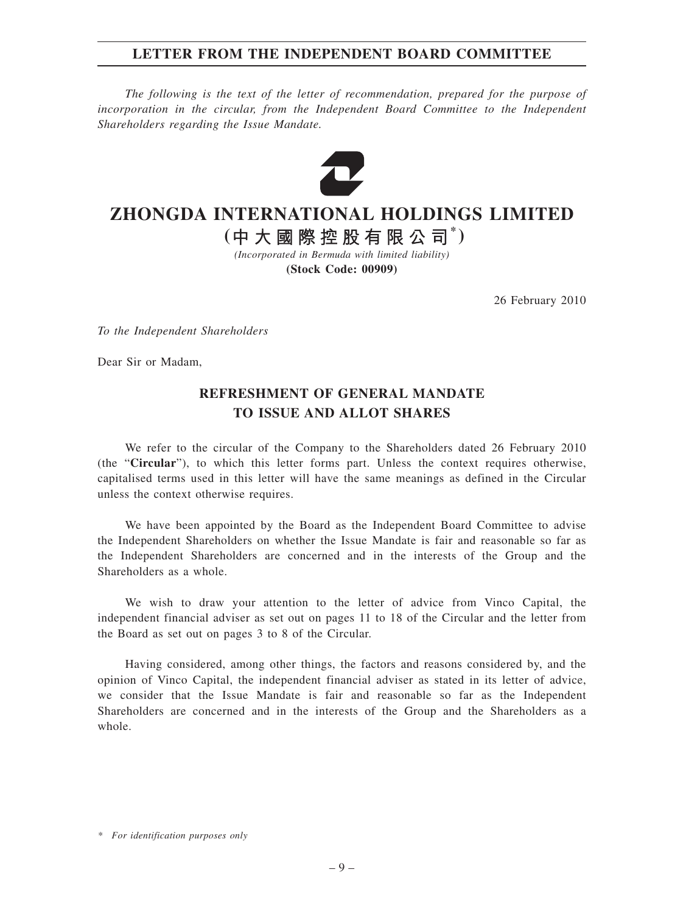#### **LETTER FROM THE INDEPENDENT BOARD COMMITTEE**

*The following is the text of the letter of recommendation, prepared for the purpose of incorporation in the circular, from the Independent Board Committee to the Independent Shareholders regarding the Issue Mandate.*



# **ZHONGDA INTERNATIONAL HOLDINGS LIMITED**

**( \* )**

*(Incorporated in Bermuda with limited liability)* **(Stock Code: 00909)**

26 February 2010

*To the Independent Shareholders*

Dear Sir or Madam,

### **REFRESHMENT OF GENERAL MANDATE TO ISSUE AND ALLOT SHARES**

We refer to the circular of the Company to the Shareholders dated 26 February 2010 (the "**Circular**"), to which this letter forms part. Unless the context requires otherwise, capitalised terms used in this letter will have the same meanings as defined in the Circular unless the context otherwise requires.

We have been appointed by the Board as the Independent Board Committee to advise the Independent Shareholders on whether the Issue Mandate is fair and reasonable so far as the Independent Shareholders are concerned and in the interests of the Group and the Shareholders as a whole.

We wish to draw your attention to the letter of advice from Vinco Capital, the independent financial adviser as set out on pages 11 to 18 of the Circular and the letter from the Board as set out on pages 3 to 8 of the Circular.

Having considered, among other things, the factors and reasons considered by, and the opinion of Vinco Capital, the independent financial adviser as stated in its letter of advice, we consider that the Issue Mandate is fair and reasonable so far as the Independent Shareholders are concerned and in the interests of the Group and the Shareholders as a whole.

*<sup>\*</sup> For identification purposes only*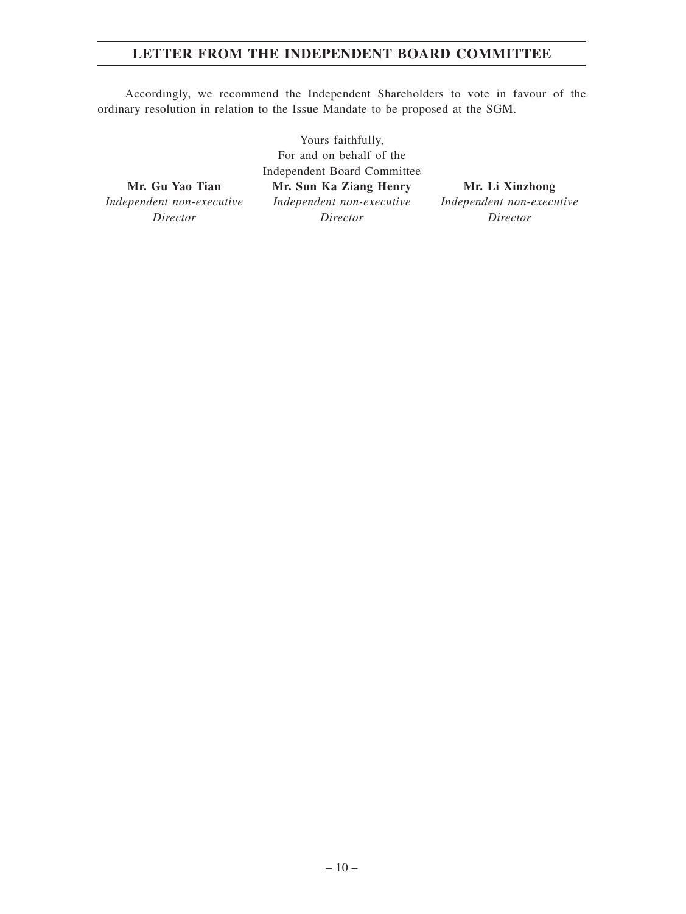### **LETTER FROM THE INDEPENDENT BOARD COMMITTEE**

Accordingly, we recommend the Independent Shareholders to vote in favour of the ordinary resolution in relation to the Issue Mandate to be proposed at the SGM.

**Mr. Gu Yao Tian** *Independent non-executive Director*

Yours faithfully, For and on behalf of the Independent Board Committee **Mr. Sun Ka Ziang Henry** *Independent non-executive Director*

**Mr. Li Xinzhong** *Independent non-executive Director*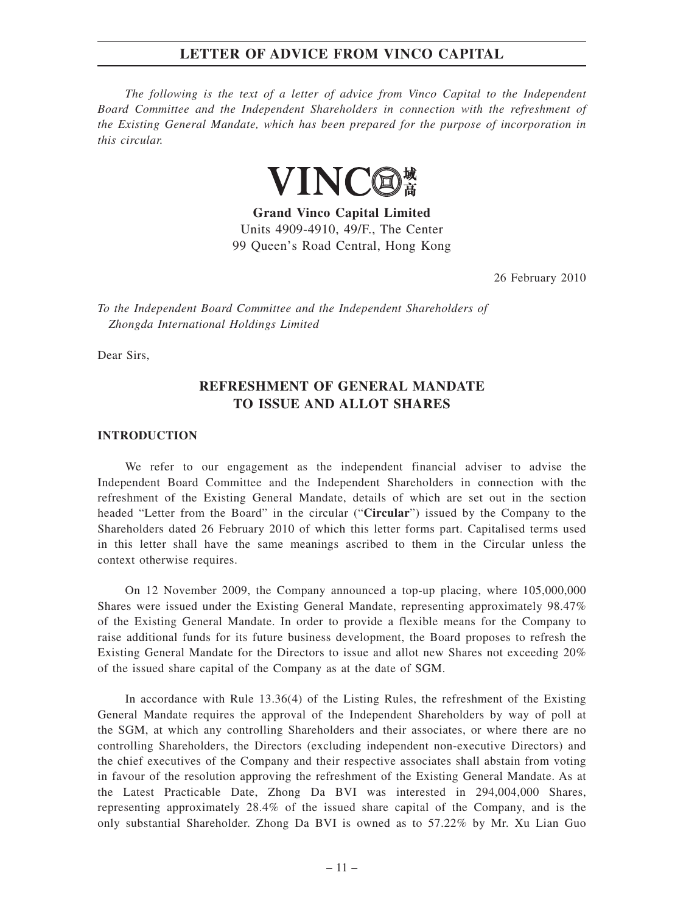*The following is the text of a letter of advice from Vinco Capital to the Independent Board Committee and the Independent Shareholders in connection with the refreshment of the Existing General Mandate, which has been prepared for the purpose of incorporation in this circular.*



**Grand Vinco Capital Limited** Units 4909-4910, 49/F., The Center 99 Queen's Road Central, Hong Kong

26 February 2010

*To the Independent Board Committee and the Independent Shareholders of Zhongda International Holdings Limited*

Dear Sirs,

### **REFRESHMENT OF GENERAL MANDATE TO ISSUE AND ALLOT SHARES**

#### **INTRODUCTION**

We refer to our engagement as the independent financial adviser to advise the Independent Board Committee and the Independent Shareholders in connection with the refreshment of the Existing General Mandate, details of which are set out in the section headed "Letter from the Board" in the circular ("**Circular**") issued by the Company to the Shareholders dated 26 February 2010 of which this letter forms part. Capitalised terms used in this letter shall have the same meanings ascribed to them in the Circular unless the context otherwise requires.

On 12 November 2009, the Company announced a top-up placing, where 105,000,000 Shares were issued under the Existing General Mandate, representing approximately 98.47% of the Existing General Mandate. In order to provide a flexible means for the Company to raise additional funds for its future business development, the Board proposes to refresh the Existing General Mandate for the Directors to issue and allot new Shares not exceeding 20% of the issued share capital of the Company as at the date of SGM.

In accordance with Rule 13.36(4) of the Listing Rules, the refreshment of the Existing General Mandate requires the approval of the Independent Shareholders by way of poll at the SGM, at which any controlling Shareholders and their associates, or where there are no controlling Shareholders, the Directors (excluding independent non-executive Directors) and the chief executives of the Company and their respective associates shall abstain from voting in favour of the resolution approving the refreshment of the Existing General Mandate. As at the Latest Practicable Date, Zhong Da BVI was interested in 294,004,000 Shares, representing approximately 28.4% of the issued share capital of the Company, and is the only substantial Shareholder. Zhong Da BVI is owned as to 57.22% by Mr. Xu Lian Guo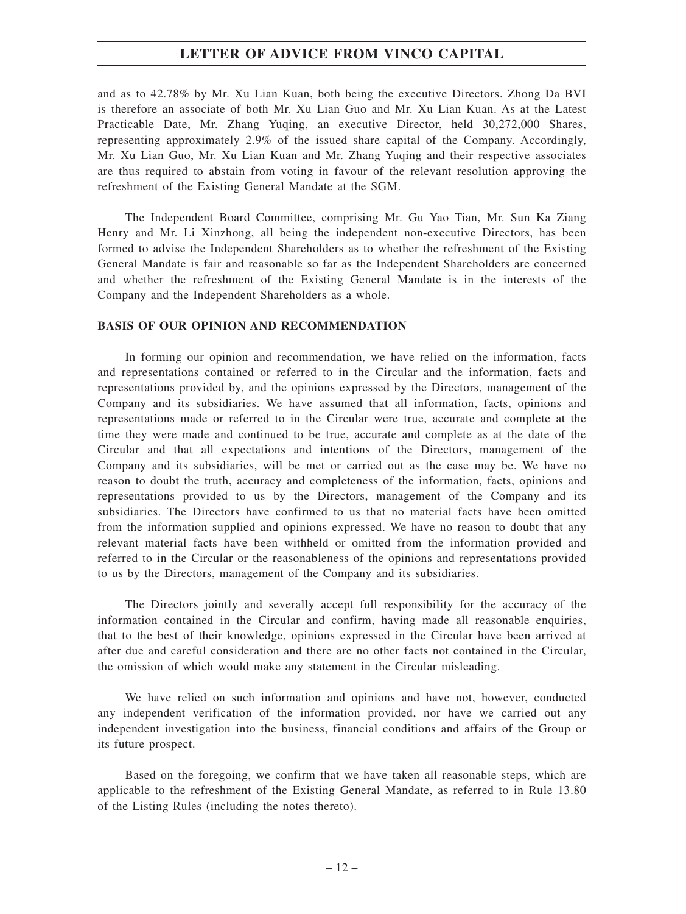and as to 42.78% by Mr. Xu Lian Kuan, both being the executive Directors. Zhong Da BVI is therefore an associate of both Mr. Xu Lian Guo and Mr. Xu Lian Kuan. As at the Latest Practicable Date, Mr. Zhang Yuqing, an executive Director, held 30,272,000 Shares, representing approximately 2.9% of the issued share capital of the Company. Accordingly, Mr. Xu Lian Guo, Mr. Xu Lian Kuan and Mr. Zhang Yuqing and their respective associates are thus required to abstain from voting in favour of the relevant resolution approving the refreshment of the Existing General Mandate at the SGM.

The Independent Board Committee, comprising Mr. Gu Yao Tian, Mr. Sun Ka Ziang Henry and Mr. Li Xinzhong, all being the independent non-executive Directors, has been formed to advise the Independent Shareholders as to whether the refreshment of the Existing General Mandate is fair and reasonable so far as the Independent Shareholders are concerned and whether the refreshment of the Existing General Mandate is in the interests of the Company and the Independent Shareholders as a whole.

#### **BASIS OF OUR OPINION AND RECOMMENDATION**

In forming our opinion and recommendation, we have relied on the information, facts and representations contained or referred to in the Circular and the information, facts and representations provided by, and the opinions expressed by the Directors, management of the Company and its subsidiaries. We have assumed that all information, facts, opinions and representations made or referred to in the Circular were true, accurate and complete at the time they were made and continued to be true, accurate and complete as at the date of the Circular and that all expectations and intentions of the Directors, management of the Company and its subsidiaries, will be met or carried out as the case may be. We have no reason to doubt the truth, accuracy and completeness of the information, facts, opinions and representations provided to us by the Directors, management of the Company and its subsidiaries. The Directors have confirmed to us that no material facts have been omitted from the information supplied and opinions expressed. We have no reason to doubt that any relevant material facts have been withheld or omitted from the information provided and referred to in the Circular or the reasonableness of the opinions and representations provided to us by the Directors, management of the Company and its subsidiaries.

The Directors jointly and severally accept full responsibility for the accuracy of the information contained in the Circular and confirm, having made all reasonable enquiries, that to the best of their knowledge, opinions expressed in the Circular have been arrived at after due and careful consideration and there are no other facts not contained in the Circular, the omission of which would make any statement in the Circular misleading.

We have relied on such information and opinions and have not, however, conducted any independent verification of the information provided, nor have we carried out any independent investigation into the business, financial conditions and affairs of the Group or its future prospect.

Based on the foregoing, we confirm that we have taken all reasonable steps, which are applicable to the refreshment of the Existing General Mandate, as referred to in Rule 13.80 of the Listing Rules (including the notes thereto).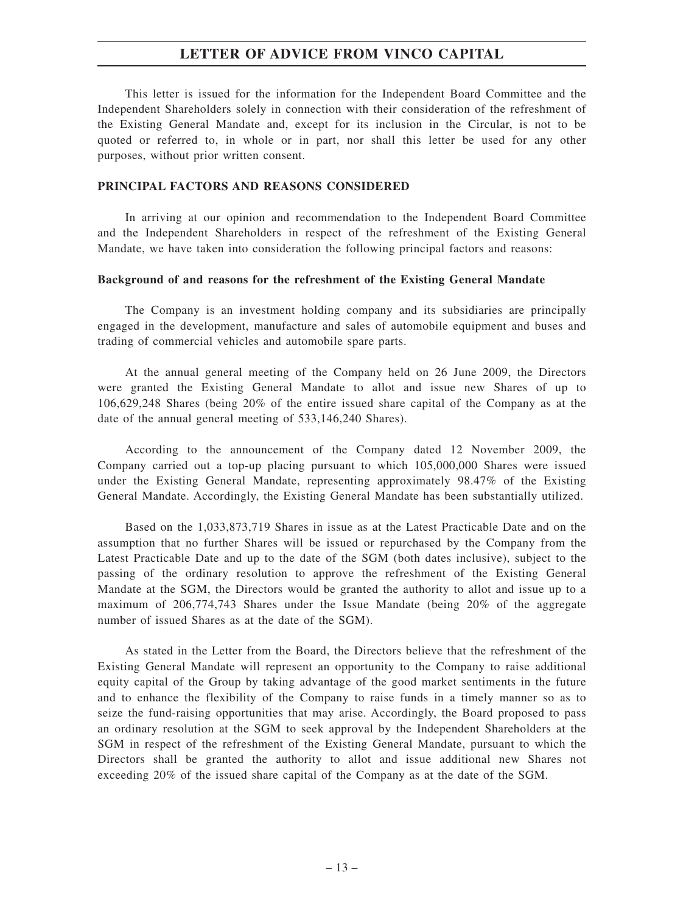This letter is issued for the information for the Independent Board Committee and the Independent Shareholders solely in connection with their consideration of the refreshment of the Existing General Mandate and, except for its inclusion in the Circular, is not to be quoted or referred to, in whole or in part, nor shall this letter be used for any other purposes, without prior written consent.

#### **PRINCIPAL FACTORS AND REASONS CONSIDERED**

In arriving at our opinion and recommendation to the Independent Board Committee and the Independent Shareholders in respect of the refreshment of the Existing General Mandate, we have taken into consideration the following principal factors and reasons:

#### **Background of and reasons for the refreshment of the Existing General Mandate**

The Company is an investment holding company and its subsidiaries are principally engaged in the development, manufacture and sales of automobile equipment and buses and trading of commercial vehicles and automobile spare parts.

At the annual general meeting of the Company held on 26 June 2009, the Directors were granted the Existing General Mandate to allot and issue new Shares of up to 106,629,248 Shares (being 20% of the entire issued share capital of the Company as at the date of the annual general meeting of 533,146,240 Shares).

According to the announcement of the Company dated 12 November 2009, the Company carried out a top-up placing pursuant to which 105,000,000 Shares were issued under the Existing General Mandate, representing approximately 98.47% of the Existing General Mandate. Accordingly, the Existing General Mandate has been substantially utilized.

Based on the 1,033,873,719 Shares in issue as at the Latest Practicable Date and on the assumption that no further Shares will be issued or repurchased by the Company from the Latest Practicable Date and up to the date of the SGM (both dates inclusive), subject to the passing of the ordinary resolution to approve the refreshment of the Existing General Mandate at the SGM, the Directors would be granted the authority to allot and issue up to a maximum of 206,774,743 Shares under the Issue Mandate (being 20% of the aggregate number of issued Shares as at the date of the SGM).

As stated in the Letter from the Board, the Directors believe that the refreshment of the Existing General Mandate will represent an opportunity to the Company to raise additional equity capital of the Group by taking advantage of the good market sentiments in the future and to enhance the flexibility of the Company to raise funds in a timely manner so as to seize the fund-raising opportunities that may arise. Accordingly, the Board proposed to pass an ordinary resolution at the SGM to seek approval by the Independent Shareholders at the SGM in respect of the refreshment of the Existing General Mandate, pursuant to which the Directors shall be granted the authority to allot and issue additional new Shares not exceeding 20% of the issued share capital of the Company as at the date of the SGM.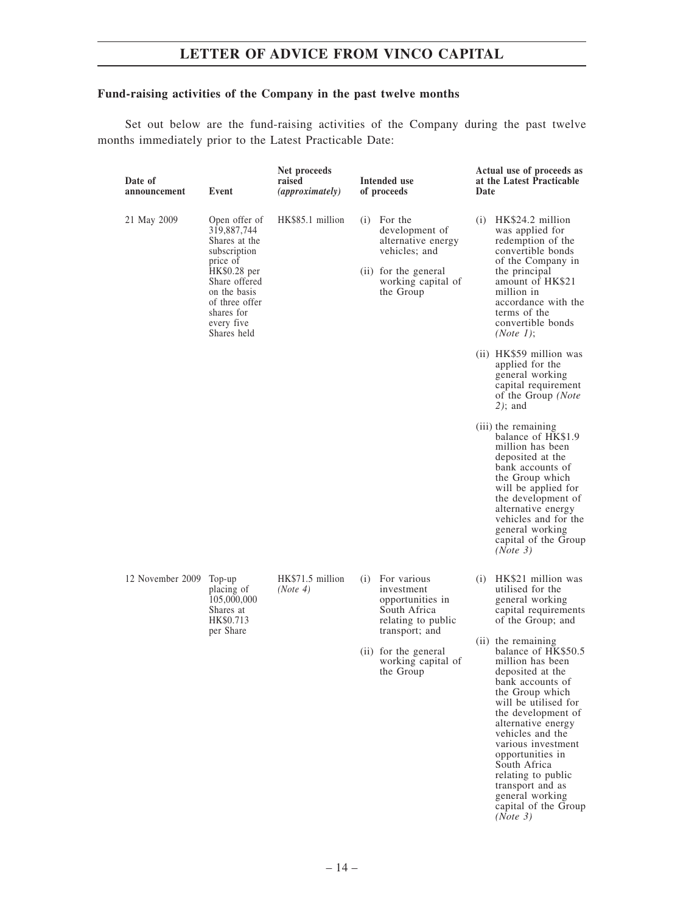### **Fund-raising activities of the Company in the past twelve months**

Set out below are the fund-raising activities of the Company during the past twelve months immediately prior to the Latest Practicable Date:

| Date of<br>announcement | Event                                                                                                                                                                                   | Net proceeds<br>raised<br><i>(approximately)</i> | Intended use<br>of proceeds                                                                                                                                          | Date | Actual use of proceeds as<br>at the Latest Practicable                                                                                                                                                                                                                                                                                                                                                                                                                    |
|-------------------------|-----------------------------------------------------------------------------------------------------------------------------------------------------------------------------------------|--------------------------------------------------|----------------------------------------------------------------------------------------------------------------------------------------------------------------------|------|---------------------------------------------------------------------------------------------------------------------------------------------------------------------------------------------------------------------------------------------------------------------------------------------------------------------------------------------------------------------------------------------------------------------------------------------------------------------------|
| 21 May 2009             | Open offer of<br>319,887,744<br>Shares at the<br>subscription<br>price of<br>HK\$0.28 per<br>Share offered<br>on the basis<br>of three offer<br>shares for<br>every five<br>Shares held | HK\$85.1 million                                 | $(i)$ For the<br>development of<br>alternative energy<br>vehicles; and<br>(ii) for the general<br>working capital of<br>the Group                                    |      | $(i)$ HK\$24.2 million<br>was applied for<br>redemption of the<br>convertible bonds<br>of the Company in<br>the principal<br>amount of HK\$21<br>million in<br>accordance with the<br>terms of the<br>convertible bonds<br>(Note 1);                                                                                                                                                                                                                                      |
|                         |                                                                                                                                                                                         |                                                  |                                                                                                                                                                      |      | (ii) HK\$59 million was<br>applied for the<br>general working<br>capital requirement<br>of the Group (Note<br>$2)$ ; and                                                                                                                                                                                                                                                                                                                                                  |
|                         |                                                                                                                                                                                         |                                                  |                                                                                                                                                                      |      | (iii) the remaining<br>balance of HK\$1.9<br>million has been<br>deposited at the<br>bank accounts of<br>the Group which<br>will be applied for<br>the development of<br>alternative energy<br>vehicles and for the<br>general working<br>capital of the Group<br>(Note 3)                                                                                                                                                                                                |
| 12 November 2009 Top-up | placing of<br>105,000,000<br>Shares at<br>HK\$0.713<br>per Share                                                                                                                        | HK\$71.5 million<br>(Note 4)                     | (i) For various<br>investment<br>opportunities in<br>South Africa<br>relating to public<br>transport; and<br>(ii) for the general<br>working capital of<br>the Group | (i)  | HK\$21 million was<br>utilised for the<br>general working<br>capital requirements<br>of the Group; and<br>(ii) the remaining<br>balance of HK\$50.5<br>million has been<br>deposited at the<br>bank accounts of<br>the Group which<br>will be utilised for<br>the development of<br>alternative energy<br>vehicles and the<br>various investment<br>opportunities in<br>South Africa<br>relating to public<br>transport and as<br>general working<br>capital of the Group |

*(Note 3)*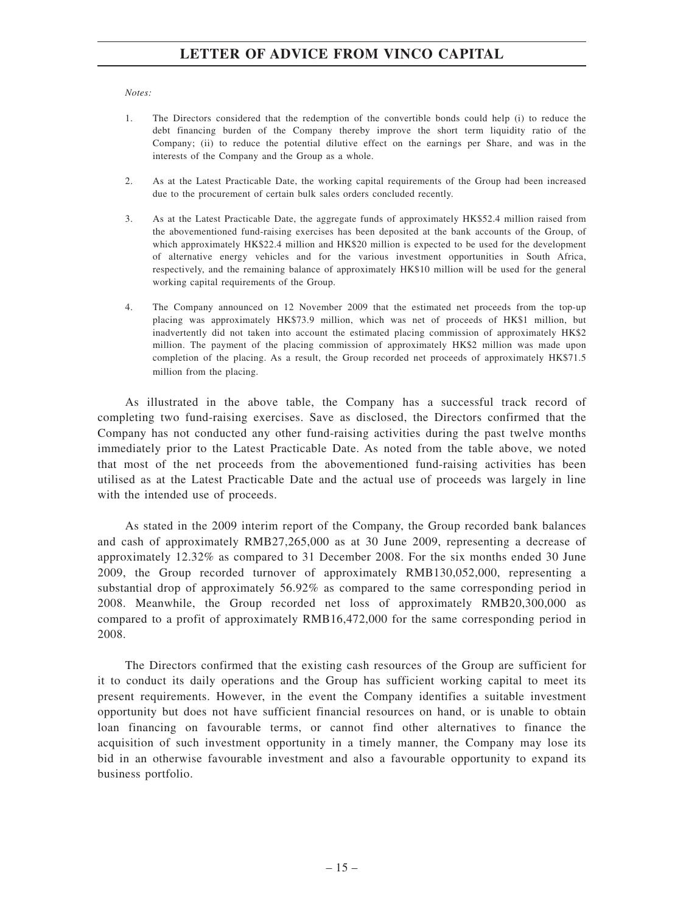#### *Notes:*

- 1. The Directors considered that the redemption of the convertible bonds could help (i) to reduce the debt financing burden of the Company thereby improve the short term liquidity ratio of the Company; (ii) to reduce the potential dilutive effect on the earnings per Share, and was in the interests of the Company and the Group as a whole.
- 2. As at the Latest Practicable Date, the working capital requirements of the Group had been increased due to the procurement of certain bulk sales orders concluded recently.
- 3. As at the Latest Practicable Date, the aggregate funds of approximately HK\$52.4 million raised from the abovementioned fund-raising exercises has been deposited at the bank accounts of the Group, of which approximately HK\$22.4 million and HK\$20 million is expected to be used for the development of alternative energy vehicles and for the various investment opportunities in South Africa, respectively, and the remaining balance of approximately HK\$10 million will be used for the general working capital requirements of the Group.
- 4. The Company announced on 12 November 2009 that the estimated net proceeds from the top-up placing was approximately HK\$73.9 million, which was net of proceeds of HK\$1 million, but inadvertently did not taken into account the estimated placing commission of approximately HK\$2 million. The payment of the placing commission of approximately HK\$2 million was made upon completion of the placing. As a result, the Group recorded net proceeds of approximately HK\$71.5 million from the placing.

As illustrated in the above table, the Company has a successful track record of completing two fund-raising exercises. Save as disclosed, the Directors confirmed that the Company has not conducted any other fund-raising activities during the past twelve months immediately prior to the Latest Practicable Date. As noted from the table above, we noted that most of the net proceeds from the abovementioned fund-raising activities has been utilised as at the Latest Practicable Date and the actual use of proceeds was largely in line with the intended use of proceeds.

As stated in the 2009 interim report of the Company, the Group recorded bank balances and cash of approximately RMB27,265,000 as at 30 June 2009, representing a decrease of approximately 12.32% as compared to 31 December 2008. For the six months ended 30 June 2009, the Group recorded turnover of approximately RMB130,052,000, representing a substantial drop of approximately 56.92% as compared to the same corresponding period in 2008. Meanwhile, the Group recorded net loss of approximately RMB20,300,000 as compared to a profit of approximately RMB16,472,000 for the same corresponding period in 2008.

The Directors confirmed that the existing cash resources of the Group are sufficient for it to conduct its daily operations and the Group has sufficient working capital to meet its present requirements. However, in the event the Company identifies a suitable investment opportunity but does not have sufficient financial resources on hand, or is unable to obtain loan financing on favourable terms, or cannot find other alternatives to finance the acquisition of such investment opportunity in a timely manner, the Company may lose its bid in an otherwise favourable investment and also a favourable opportunity to expand its business portfolio.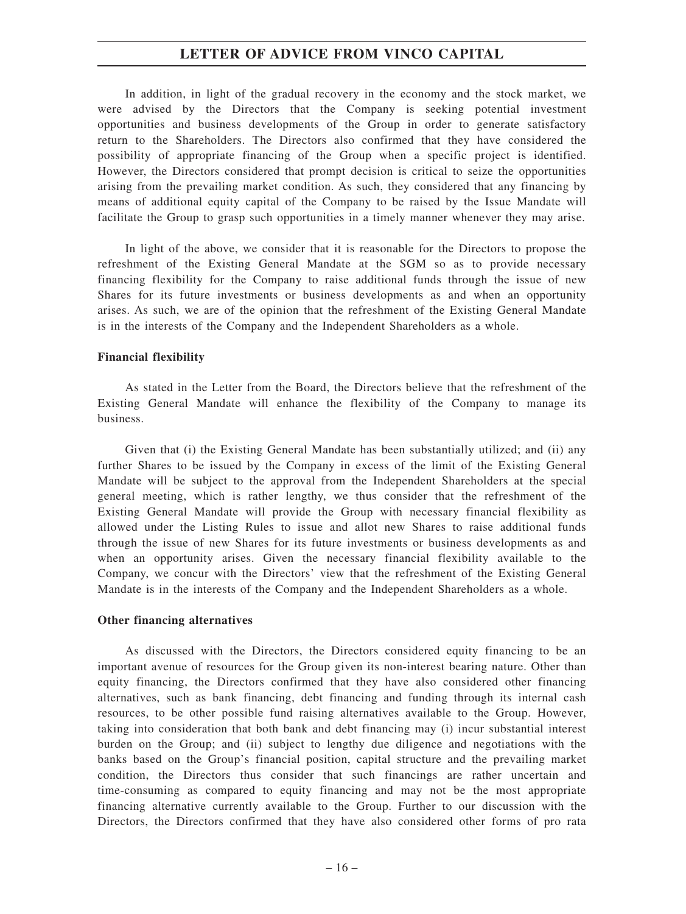In addition, in light of the gradual recovery in the economy and the stock market, we were advised by the Directors that the Company is seeking potential investment opportunities and business developments of the Group in order to generate satisfactory return to the Shareholders. The Directors also confirmed that they have considered the possibility of appropriate financing of the Group when a specific project is identified. However, the Directors considered that prompt decision is critical to seize the opportunities arising from the prevailing market condition. As such, they considered that any financing by means of additional equity capital of the Company to be raised by the Issue Mandate will facilitate the Group to grasp such opportunities in a timely manner whenever they may arise.

In light of the above, we consider that it is reasonable for the Directors to propose the refreshment of the Existing General Mandate at the SGM so as to provide necessary financing flexibility for the Company to raise additional funds through the issue of new Shares for its future investments or business developments as and when an opportunity arises. As such, we are of the opinion that the refreshment of the Existing General Mandate is in the interests of the Company and the Independent Shareholders as a whole.

#### **Financial flexibility**

As stated in the Letter from the Board, the Directors believe that the refreshment of the Existing General Mandate will enhance the flexibility of the Company to manage its business.

Given that (i) the Existing General Mandate has been substantially utilized; and (ii) any further Shares to be issued by the Company in excess of the limit of the Existing General Mandate will be subject to the approval from the Independent Shareholders at the special general meeting, which is rather lengthy, we thus consider that the refreshment of the Existing General Mandate will provide the Group with necessary financial flexibility as allowed under the Listing Rules to issue and allot new Shares to raise additional funds through the issue of new Shares for its future investments or business developments as and when an opportunity arises. Given the necessary financial flexibility available to the Company, we concur with the Directors' view that the refreshment of the Existing General Mandate is in the interests of the Company and the Independent Shareholders as a whole.

#### **Other financing alternatives**

As discussed with the Directors, the Directors considered equity financing to be an important avenue of resources for the Group given its non-interest bearing nature. Other than equity financing, the Directors confirmed that they have also considered other financing alternatives, such as bank financing, debt financing and funding through its internal cash resources, to be other possible fund raising alternatives available to the Group. However, taking into consideration that both bank and debt financing may (i) incur substantial interest burden on the Group; and (ii) subject to lengthy due diligence and negotiations with the banks based on the Group's financial position, capital structure and the prevailing market condition, the Directors thus consider that such financings are rather uncertain and time-consuming as compared to equity financing and may not be the most appropriate financing alternative currently available to the Group. Further to our discussion with the Directors, the Directors confirmed that they have also considered other forms of pro rata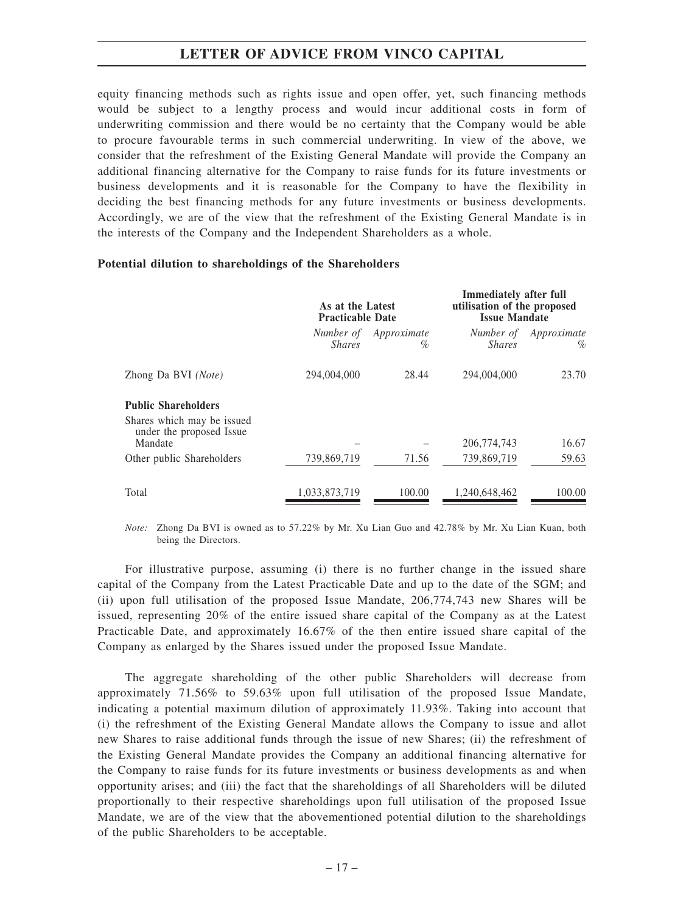equity financing methods such as rights issue and open offer, yet, such financing methods would be subject to a lengthy process and would incur additional costs in form of underwriting commission and there would be no certainty that the Company would be able to procure favourable terms in such commercial underwriting. In view of the above, we consider that the refreshment of the Existing General Mandate will provide the Company an additional financing alternative for the Company to raise funds for its future investments or business developments and it is reasonable for the Company to have the flexibility in deciding the best financing methods for any future investments or business developments. Accordingly, we are of the view that the refreshment of the Existing General Mandate is in the interests of the Company and the Independent Shareholders as a whole.

#### **Potential dilution to shareholdings of the Shareholders**

|                                                        | As at the Latest<br><b>Practicable Date</b> |                  | Immediately after full<br>utilisation of the proposed<br><b>Issue Mandate</b> |                     |  |
|--------------------------------------------------------|---------------------------------------------|------------------|-------------------------------------------------------------------------------|---------------------|--|
|                                                        | Number of<br><i>Shares</i>                  | Approximate<br>% | Number of<br><i>Shares</i>                                                    | Approximate<br>$\%$ |  |
| Zhong Da BVI (Note)                                    | 294,004,000                                 | 28.44            | 294,004,000                                                                   | 23.70               |  |
| <b>Public Shareholders</b>                             |                                             |                  |                                                                               |                     |  |
| Shares which may be issued<br>under the proposed Issue |                                             |                  |                                                                               |                     |  |
| Mandate                                                |                                             |                  | 206,774,743                                                                   | 16.67               |  |
| Other public Shareholders                              | 739,869,719                                 | 71.56            | 739,869,719                                                                   | 59.63               |  |
| Total                                                  | 1,033,873,719                               | 100.00           | 1.240.648.462                                                                 | 100.00              |  |

*Note:* Zhong Da BVI is owned as to 57.22% by Mr. Xu Lian Guo and 42.78% by Mr. Xu Lian Kuan, both being the Directors.

For illustrative purpose, assuming (i) there is no further change in the issued share capital of the Company from the Latest Practicable Date and up to the date of the SGM; and (ii) upon full utilisation of the proposed Issue Mandate, 206,774,743 new Shares will be issued, representing 20% of the entire issued share capital of the Company as at the Latest Practicable Date, and approximately 16.67% of the then entire issued share capital of the Company as enlarged by the Shares issued under the proposed Issue Mandate.

The aggregate shareholding of the other public Shareholders will decrease from approximately 71.56% to 59.63% upon full utilisation of the proposed Issue Mandate, indicating a potential maximum dilution of approximately 11.93%. Taking into account that (i) the refreshment of the Existing General Mandate allows the Company to issue and allot new Shares to raise additional funds through the issue of new Shares; (ii) the refreshment of the Existing General Mandate provides the Company an additional financing alternative for the Company to raise funds for its future investments or business developments as and when opportunity arises; and (iii) the fact that the shareholdings of all Shareholders will be diluted proportionally to their respective shareholdings upon full utilisation of the proposed Issue Mandate, we are of the view that the abovementioned potential dilution to the shareholdings of the public Shareholders to be acceptable.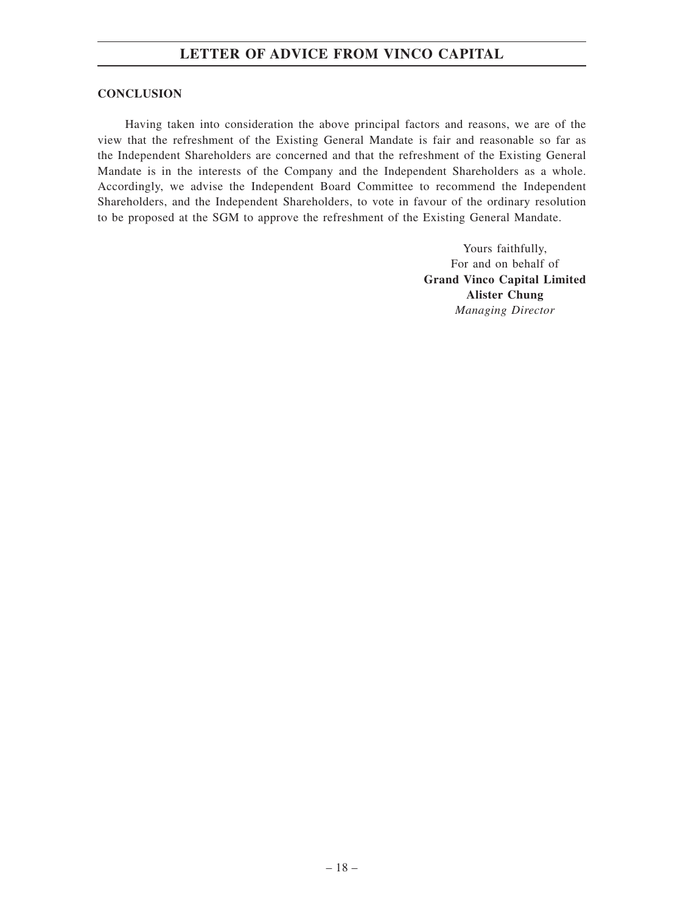#### **CONCLUSION**

Having taken into consideration the above principal factors and reasons, we are of the view that the refreshment of the Existing General Mandate is fair and reasonable so far as the Independent Shareholders are concerned and that the refreshment of the Existing General Mandate is in the interests of the Company and the Independent Shareholders as a whole. Accordingly, we advise the Independent Board Committee to recommend the Independent Shareholders, and the Independent Shareholders, to vote in favour of the ordinary resolution to be proposed at the SGM to approve the refreshment of the Existing General Mandate.

> Yours faithfully, For and on behalf of **Grand Vinco Capital Limited Alister Chung** *Managing Director*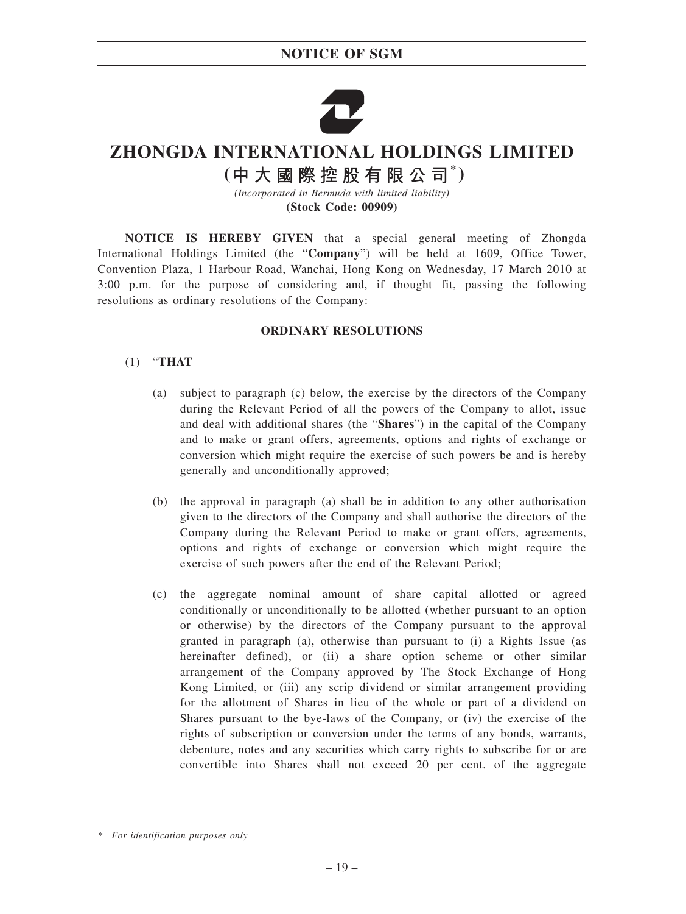### **NOTICE OF SGM**



# **ZHONGDA INTERNATIONAL HOLDINGS LIMITED**

**( \* )**

*(Incorporated in Bermuda with limited liability)* **(Stock Code: 00909)**

**NOTICE IS HEREBY GIVEN** that a special general meeting of Zhongda International Holdings Limited (the "**Company**") will be held at 1609, Office Tower, Convention Plaza, 1 Harbour Road, Wanchai, Hong Kong on Wednesday, 17 March 2010 at 3:00 p.m. for the purpose of considering and, if thought fit, passing the following resolutions as ordinary resolutions of the Company:

#### **ORDINARY RESOLUTIONS**

#### (1) "**THAT**

- (a) subject to paragraph (c) below, the exercise by the directors of the Company during the Relevant Period of all the powers of the Company to allot, issue and deal with additional shares (the "**Shares**") in the capital of the Company and to make or grant offers, agreements, options and rights of exchange or conversion which might require the exercise of such powers be and is hereby generally and unconditionally approved;
- (b) the approval in paragraph (a) shall be in addition to any other authorisation given to the directors of the Company and shall authorise the directors of the Company during the Relevant Period to make or grant offers, agreements, options and rights of exchange or conversion which might require the exercise of such powers after the end of the Relevant Period;
- (c) the aggregate nominal amount of share capital allotted or agreed conditionally or unconditionally to be allotted (whether pursuant to an option or otherwise) by the directors of the Company pursuant to the approval granted in paragraph (a), otherwise than pursuant to (i) a Rights Issue (as hereinafter defined), or (ii) a share option scheme or other similar arrangement of the Company approved by The Stock Exchange of Hong Kong Limited, or (iii) any scrip dividend or similar arrangement providing for the allotment of Shares in lieu of the whole or part of a dividend on Shares pursuant to the bye-laws of the Company, or (iv) the exercise of the rights of subscription or conversion under the terms of any bonds, warrants, debenture, notes and any securities which carry rights to subscribe for or are convertible into Shares shall not exceed 20 per cent. of the aggregate

*<sup>\*</sup> For identification purposes only*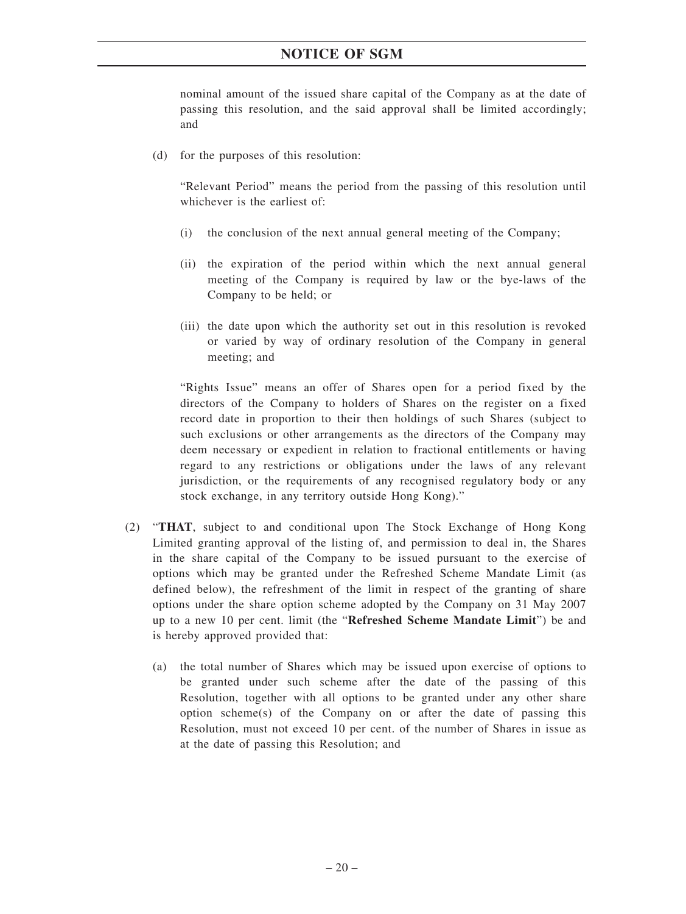nominal amount of the issued share capital of the Company as at the date of passing this resolution, and the said approval shall be limited accordingly; and

(d) for the purposes of this resolution:

"Relevant Period" means the period from the passing of this resolution until whichever is the earliest of:

- (i) the conclusion of the next annual general meeting of the Company;
- (ii) the expiration of the period within which the next annual general meeting of the Company is required by law or the bye-laws of the Company to be held; or
- (iii) the date upon which the authority set out in this resolution is revoked or varied by way of ordinary resolution of the Company in general meeting; and

"Rights Issue" means an offer of Shares open for a period fixed by the directors of the Company to holders of Shares on the register on a fixed record date in proportion to their then holdings of such Shares (subject to such exclusions or other arrangements as the directors of the Company may deem necessary or expedient in relation to fractional entitlements or having regard to any restrictions or obligations under the laws of any relevant jurisdiction, or the requirements of any recognised regulatory body or any stock exchange, in any territory outside Hong Kong)."

- (2) "**THAT**, subject to and conditional upon The Stock Exchange of Hong Kong Limited granting approval of the listing of, and permission to deal in, the Shares in the share capital of the Company to be issued pursuant to the exercise of options which may be granted under the Refreshed Scheme Mandate Limit (as defined below), the refreshment of the limit in respect of the granting of share options under the share option scheme adopted by the Company on 31 May 2007 up to a new 10 per cent. limit (the "**Refreshed Scheme Mandate Limit**") be and is hereby approved provided that:
	- (a) the total number of Shares which may be issued upon exercise of options to be granted under such scheme after the date of the passing of this Resolution, together with all options to be granted under any other share option scheme(s) of the Company on or after the date of passing this Resolution, must not exceed 10 per cent. of the number of Shares in issue as at the date of passing this Resolution; and